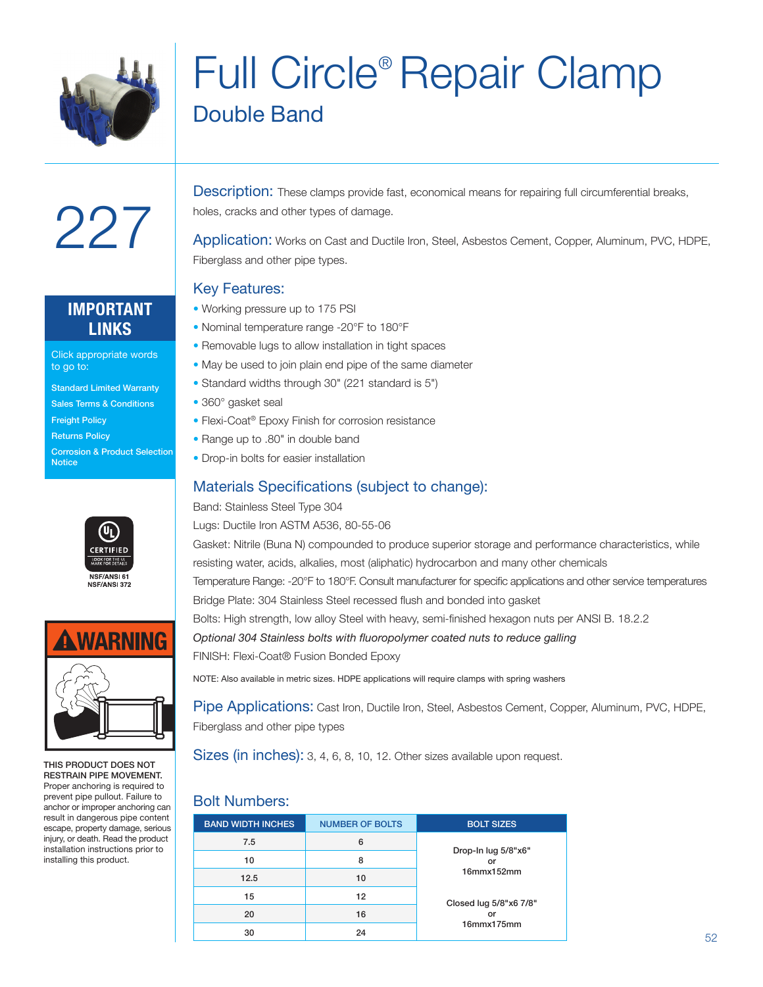

## Full Circle® Repair Clamp Double Band

## **IMPORTANT LINKS**

227

Click appropriate words to go to:

- Standard Limited Warranty
- Sales Terms & Conditions
- Freight Policy
- Returns Policy
- Corrosion & Product Selection **Notice**





THIS PRODUCT DOES NOT RESTRAIN PIPE MOVEMENT. Proper anchoring is required to prevent pipe pullout. Failure to anchor or improper anchoring can result in dangerous pipe content escape, property damage, serious injury, or death. Read the product installation instructions prior to installing this product.

Description: These clamps provide fast, economical means for repairing full circumferential breaks, holes, cracks and other types of damage.

Application: Works on Cast and Ductile Iron, Steel, Asbestos Cement, Copper, Aluminum, PVC, HDPE, Fiberglass and other pipe types.

### Key Features:

- Working pressure up to 175 PSI
- Nominal temperature range -20°F to 180°F
- Removable lugs to allow installation in tight spaces
- May be used to join plain end pipe of the same diameter
- Standard widths through 30" (221 standard is 5")
- 360° gasket seal
- Flexi-Coat<sup>®</sup> Epoxy Finish for corrosion resistance
- Range up to .80" in double band
- Drop-in bolts for easier installation

## Materials Specifications (subject to change):

#### Band: Stainless Steel Type 304

Lugs: Ductile Iron ASTM A536, 80-55-06

Gasket: Nitrile (Buna N) compounded to produce superior storage and performance characteristics, while resisting water, acids, alkalies, most (aliphatic) hydrocarbon and many other chemicals Temperature Range: -20°F to 180°F. Consult manufacturer for specific applications and other service temperatures Bridge Plate: 304 Stainless Steel recessed flush and bonded into gasket Bolts: High strength, low alloy Steel with heavy, semi-finished hexagon nuts per ANSI B. 18.2.2 *Optional 304 Stainless bolts with fluoropolymer coated nuts to reduce galling*

FINISH: Flexi-Coat® Fusion Bonded Epoxy

NOTE: Also available in metric sizes. HDPE applications will require clamps with spring washers

Pipe Applications: Cast Iron, Ductile Iron, Steel, Asbestos Cement, Copper, Aluminum, PVC, HDPE, Fiberglass and other pipe types

Sizes (in inches): 3, 4, 6, 8, 10, 12. Other sizes available upon request.

### Bolt Numbers:

| <b>BAND WIDTH INCHES</b> | <b>NUMBER OF BOLTS</b> | <b>BOLT SIZES</b>         |
|--------------------------|------------------------|---------------------------|
| 7.5                      | 6                      |                           |
| 10                       | 8                      | Drop-In lug 5/8"x6"<br>or |
| 12.5                     | 10                     | $16$ mm $x152$ mm         |
| 15                       | 12                     | Closed lug 5/8"x6 7/8"    |
| 20                       | 16                     | or                        |
| 30                       | 24                     | 16mmx175mm                |
|                          |                        |                           |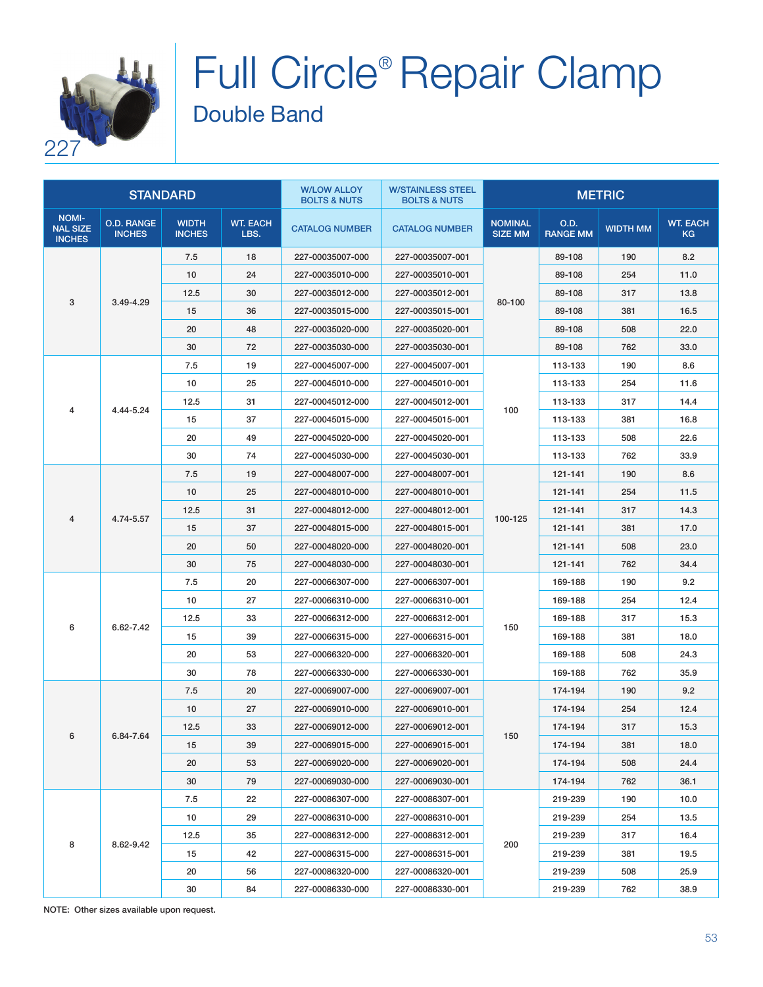

# Full Circle® Repair Clamp Double Band

| <b>STANDARD</b>                                  |                                    |                               | <b>W/LOW ALLOY</b><br><b>BOLTS &amp; NUTS</b> | <b>W/STAINLESS STEEL</b><br><b>BOLTS &amp; NUTS</b> | <b>METRIC</b>         |                                  |                         |                 |                              |
|--------------------------------------------------|------------------------------------|-------------------------------|-----------------------------------------------|-----------------------------------------------------|-----------------------|----------------------------------|-------------------------|-----------------|------------------------------|
| <b>NOMI-</b><br><b>NAL SIZE</b><br><b>INCHES</b> | <b>O.D. RANGE</b><br><b>INCHES</b> | <b>WIDTH</b><br><b>INCHES</b> | <b>WT. EACH</b><br>LBS.                       | <b>CATALOG NUMBER</b>                               | <b>CATALOG NUMBER</b> | <b>NOMINAL</b><br><b>SIZE MM</b> | O.D.<br><b>RANGE MM</b> | <b>WIDTH MM</b> | <b>WT. EACH</b><br><b>KG</b> |
| 3                                                |                                    | 7.5                           | 18                                            | 227-00035007-000                                    | 227-00035007-001      | 80-100                           | 89-108                  | 190             | 8.2                          |
|                                                  |                                    | 10                            | 24                                            | 227-00035010-000                                    | 227-00035010-001      |                                  | 89-108                  | 254             | 11.0                         |
|                                                  | 3.49-4.29                          | 12.5                          | 30                                            | 227-00035012-000                                    | 227-00035012-001      |                                  | 89-108                  | 317             | 13.8                         |
|                                                  |                                    | 15                            | 36                                            | 227-00035015-000                                    | 227-00035015-001      |                                  | 89-108                  | 381             | 16.5                         |
|                                                  |                                    | 20                            | 48                                            | 227-00035020-000                                    | 227-00035020-001      |                                  | 89-108                  | 508             | 22.0                         |
|                                                  |                                    | 30                            | 72                                            | 227-00035030-000                                    | 227-00035030-001      |                                  | 89-108                  | 762             | 33.0                         |
|                                                  |                                    | 7.5                           | 19                                            | 227-00045007-000                                    | 227-00045007-001      |                                  | 113-133                 | 190             | 8.6                          |
|                                                  |                                    | 10                            | 25                                            | 227-00045010-000                                    | 227-00045010-001      |                                  | 113-133                 | 254             | 11.6                         |
| 4                                                | 4.44-5.24                          | 12.5                          | 31                                            | 227-00045012-000                                    | 227-00045012-001      |                                  | 113-133                 | 317             | 14.4                         |
|                                                  |                                    | 15                            | 37                                            | 227-00045015-000                                    | 227-00045015-001      | 100                              | 113-133                 | 381             | 16.8                         |
|                                                  |                                    | 20                            | 49                                            | 227-00045020-000                                    | 227-00045020-001      |                                  | 113-133                 | 508             | 22.6                         |
|                                                  |                                    | 30                            | 74                                            | 227-00045030-000                                    | 227-00045030-001      |                                  | 113-133                 | 762             | 33.9                         |
|                                                  |                                    | 7.5                           | 19                                            | 227-00048007-000                                    | 227-00048007-001      |                                  | 121-141                 | 190             | 8.6                          |
|                                                  |                                    | 10                            | 25                                            | 227-00048010-000                                    | 227-00048010-001      | 100-125                          | 121-141                 | 254             | 11.5                         |
|                                                  | 4.74-5.57                          | 12.5                          | 31                                            | 227-00048012-000                                    | 227-00048012-001      |                                  | 121-141                 | 317             | 14.3                         |
| 4                                                |                                    | 15                            | 37                                            | 227-00048015-000                                    | 227-00048015-001      |                                  | 121-141                 | 381             | 17.0                         |
|                                                  |                                    | 20                            | 50                                            | 227-00048020-000                                    | 227-00048020-001      |                                  | 121-141                 | 508             | 23.0                         |
|                                                  |                                    | 30                            | 75                                            | 227-00048030-000                                    | 227-00048030-001      |                                  | 121-141                 | 762             | 34.4                         |
|                                                  | 6.62-7.42                          | 7.5                           | 20                                            | 227-00066307-000                                    | 227-00066307-001      | 150                              | 169-188                 | 190             | 9.2                          |
|                                                  |                                    | 10                            | 27                                            | 227-00066310-000                                    | 227-00066310-001      |                                  | 169-188                 | 254             | 12.4                         |
| 6                                                |                                    | 12.5                          | 33                                            | 227-00066312-000                                    | 227-00066312-001      |                                  | 169-188                 | 317             | 15.3                         |
|                                                  |                                    | 15                            | 39                                            | 227-00066315-000                                    | 227-00066315-001      |                                  | 169-188                 | 381             | 18.0                         |
|                                                  |                                    | 20                            | 53                                            | 227-00066320-000                                    | 227-00066320-001      |                                  | 169-188                 | 508             | 24.3                         |
|                                                  |                                    | 30                            | 78                                            | 227-00066330-000                                    | 227-00066330-001      |                                  | 169-188                 | 762             | 35.9                         |
|                                                  | 6.84-7.64                          | 7.5                           | 20                                            | 227-00069007-000                                    | 227-00069007-001      | 150                              | 174-194                 | 190             | 9.2                          |
| 6                                                |                                    | 10                            | 27                                            | 227-00069010-000                                    | 227-00069010-001      |                                  | 174-194                 | 254             | 12.4                         |
|                                                  |                                    | 12.5                          | 33                                            | 227-00069012-000                                    | 227-00069012-001      |                                  | 174-194                 | 317             | 15.3                         |
|                                                  |                                    | 15                            | 39                                            | 227-00069015-000                                    | 227-00069015-001      |                                  | 174-194                 | 381             | 18.0                         |
|                                                  |                                    | 20                            | 53                                            | 227-00069020-000                                    | 227-00069020-001      |                                  | 174-194                 | 508             | 24.4                         |
|                                                  |                                    | 30                            | 79                                            | 227-00069030-000                                    | 227-00069030-001      |                                  | 174-194                 | 762             | 36.1                         |
|                                                  | 8.62-9.42                          | 7.5                           | 22                                            | 227-00086307-000                                    | 227-00086307-001      | 200                              | 219-239                 | 190             | 10.0                         |
|                                                  |                                    | 10                            | 29                                            | 227-00086310-000                                    | 227-00086310-001      |                                  | 219-239                 | 254             | 13.5                         |
| 8                                                |                                    | 12.5                          | 35                                            | 227-00086312-000                                    | 227-00086312-001      |                                  | 219-239                 | 317             | 16.4                         |
|                                                  |                                    | 15                            | 42                                            | 227-00086315-000                                    | 227-00086315-001      |                                  | 219-239                 | 381             | 19.5                         |
|                                                  |                                    | 20                            | 56                                            | 227-00086320-000                                    | 227-00086320-001      |                                  | 219-239                 | 508             | 25.9                         |
|                                                  |                                    | 30                            | 84                                            | 227-00086330-000                                    | 227-00086330-001      |                                  | 219-239                 | 762             | 38.9                         |

NOTE: Other sizes available upon request.